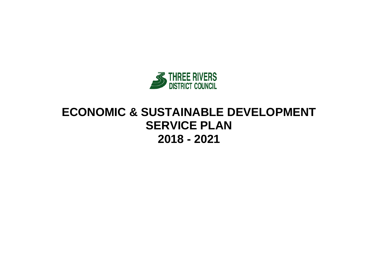

# **ECONOMIC & SUSTAINABLE DEVELOPMENT SERVICE PLAN 2018 - 2021**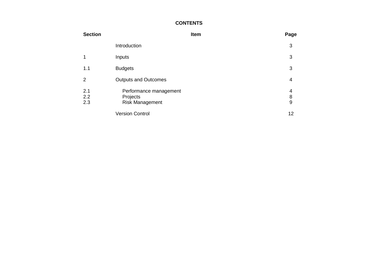### **CONTENTS**

| <b>Section</b>    |                                                              | Item | Page        |
|-------------------|--------------------------------------------------------------|------|-------------|
|                   | Introduction                                                 |      | 3           |
|                   | Inputs                                                       |      | 3           |
| 1.1               | <b>Budgets</b>                                               |      | 3           |
| 2                 | <b>Outputs and Outcomes</b>                                  |      | 4           |
| 2.1<br>2.2<br>2.3 | Performance management<br>Projects<br><b>Risk Management</b> |      | 4<br>8<br>9 |
|                   | <b>Version Control</b>                                       |      | 12          |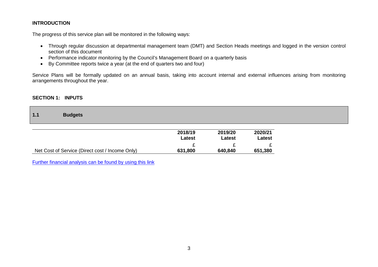### **INTRODUCTION**

The progress of this service plan will be monitored in the following ways:

- Through regular discussion at departmental management team (DMT) and Section Heads meetings and logged in the version control section of this document
- Performance indicator monitoring by the Council's Management Board on a quarterly basis
- By Committee reports twice a year (at the end of quarters two and four)

Service Plans will be formally updated on an annual basis, taking into account internal and external influences arising from monitoring arrangements throughout the year.

#### **SECTION 1: INPUTS**

**1.1 Budgets**

|                                                 | 2018/19<br>Latest | 2019/20<br>Latest | 2020/21<br>Latest |
|-------------------------------------------------|-------------------|-------------------|-------------------|
|                                                 |                   |                   |                   |
| Net Cost of Service (Direct cost / Income Only) | 631,800           | 640,840           | 651,380           |

[Further financial analysis can be found by using this link](http://www.threerivers.gov.uk/egcl-page/budgets-2018-21)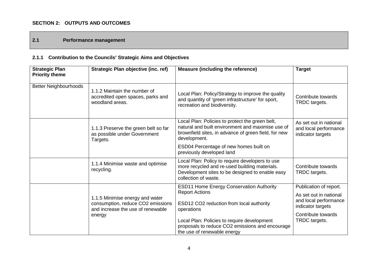## **SECTION 2: OUTPUTS AND OUTCOMES**

# **2.1 Performance management**

# **2.1.1 Contribution to the Councils' Strategic Aims and Objectives**

| <b>Strategic Plan</b><br><b>Priority theme</b> | Strategic Plan objective (inc. ref)                                                                       | <b>Measure (including the reference)</b>                                                                                                                                     | <b>Target</b>                                                                                  |
|------------------------------------------------|-----------------------------------------------------------------------------------------------------------|------------------------------------------------------------------------------------------------------------------------------------------------------------------------------|------------------------------------------------------------------------------------------------|
| <b>Better Neighbourhoods</b>                   | 1.1.2 Maintain the number of<br>accredited open spaces, parks and<br>woodland areas.                      | Local Plan: Policy/Strategy to improve the quality<br>and quantity of 'green infrastructure' for sport,<br>recreation and biodiversity.                                      | Contribute towards<br>TRDC targets.                                                            |
|                                                | 1.1.3 Preserve the green belt so far<br>as possible under Government<br>Targets.                          | Local Plan: Policies to protect the green belt,<br>natural and built environment and maximise use of<br>brownfield sites, in advance of green field, for new<br>development. | As set out in national<br>and local performance<br>indicator targets                           |
|                                                |                                                                                                           | ESD04 Percentage of new homes built on<br>previously developed land                                                                                                          |                                                                                                |
|                                                | 1.1.4 Minimise waste and optimise<br>recycling.                                                           | Local Plan: Policy to require developers to use<br>more recycled and re-used building materials.<br>Development sites to be designed to enable easy<br>collection of waste.  | Contribute towards<br>TRDC targets.                                                            |
|                                                | 1.1.5 Minimise energy and water<br>consumption, reduce CO2 emissions<br>and increase the use of renewable | <b>ESD11 Home Energy Conservation Authority</b><br><b>Report Actions</b><br>ESD12 CO2 reduction from local authority<br>operations                                           | Publication of report.<br>As set out in national<br>and local performance<br>indicator targets |
|                                                | energy                                                                                                    | Local Plan: Policies to require development<br>proposals to reduce CO2 emissions and encourage<br>the use of renewable energy                                                | Contribute towards<br>TRDC targets.                                                            |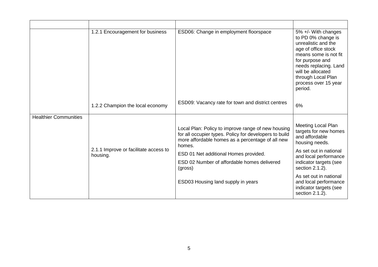|                              | 1.2.1 Encouragement for business                  | ESD06: Change in employment floorspace                                                                                                                                     | 5% +/- With changes<br>to PD 0% change is<br>unrealistic and the<br>age of office stock<br>means some is not fit<br>for purpose and<br>needs replacing. Land<br>will be allocated<br>through Local Plan<br>process over 15 year<br>period. |
|------------------------------|---------------------------------------------------|----------------------------------------------------------------------------------------------------------------------------------------------------------------------------|--------------------------------------------------------------------------------------------------------------------------------------------------------------------------------------------------------------------------------------------|
|                              | 1.2.2 Champion the local economy                  | ESD09: Vacancy rate for town and district centres                                                                                                                          | 6%                                                                                                                                                                                                                                         |
| <b>Healthier Communities</b> |                                                   |                                                                                                                                                                            |                                                                                                                                                                                                                                            |
|                              |                                                   | Local Plan: Policy to improve range of new housing<br>for all occupier types. Policy for developers to build<br>more affordable homes as a percentage of all new<br>homes. | Meeting Local Plan<br>targets for new homes<br>and affordable<br>housing needs.                                                                                                                                                            |
|                              | 2.1.1 Improve or facilitate access to<br>housing. | ESD 01 Net additional Homes provided.                                                                                                                                      | As set out in national                                                                                                                                                                                                                     |
|                              |                                                   | ESD 02 Number of affordable homes delivered<br>(gross)                                                                                                                     | and local performance<br>indicator targets (see<br>section 2.1.2).                                                                                                                                                                         |
|                              |                                                   | ESD03 Housing land supply in years                                                                                                                                         | As set out in national<br>and local performance<br>indicator targets (see<br>section 2.1.2).                                                                                                                                               |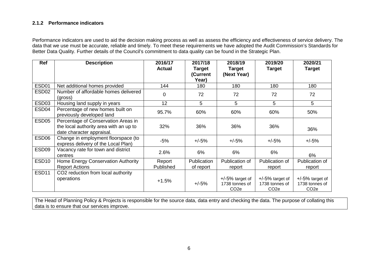### **2.1.2 Performance indicators**

Performance indicators are used to aid the decision making process as well as assess the efficiency and effectiveness of service delivery. The data that we use must be accurate, reliable and timely. To meet these requirements we have adopted the Audit Commission's Standards for Better Data Quality. Further details of the Council's commitment to data quality can be found in the Strategic Plan.

| <b>Ref</b>        | <b>Description</b>                                                                                         | 2016/17<br><b>Actual</b> | 2017/18<br>Target<br>(Current<br>Year) | 2018/19<br><b>Target</b><br>(Next Year)                   | 2019/20<br><b>Target</b>                                  | 2020/21<br><b>Target</b>                                 |
|-------------------|------------------------------------------------------------------------------------------------------------|--------------------------|----------------------------------------|-----------------------------------------------------------|-----------------------------------------------------------|----------------------------------------------------------|
| ESD <sub>01</sub> | Net additional homes provided                                                                              | 144                      | 180                                    | 180                                                       | 180                                                       | 180                                                      |
| ESD <sub>02</sub> | Number of affordable homes delivered<br>(gross)                                                            | 0                        | 72                                     | 72                                                        | 72                                                        | 72                                                       |
| ESD <sub>03</sub> | Housing land supply in years                                                                               | 12                       | 5                                      | 5                                                         | 5                                                         | 5                                                        |
| ESD <sub>04</sub> | Percentage of new homes built on<br>previously developed land                                              | 95.7%                    | 60%                                    | 60%                                                       | 60%                                                       | 50%                                                      |
| ESD <sub>05</sub> | Percentage of Conservation Areas in<br>the local authority area with an up to<br>date character appraisal. | 32%                      | 36%                                    | 36%                                                       | 36%                                                       | 36%                                                      |
| ESD <sub>06</sub> | Change in employment floorspace (to<br>express delivery of the Local Plan)                                 | $-5%$                    | $+/-5%$                                | $+/-5%$                                                   | $+/-5%$                                                   | $+/-5%$                                                  |
| ESD <sub>09</sub> | Vacancy rate for town and district<br>centres                                                              | 2.6%                     | 6%                                     | 6%                                                        | 6%                                                        | 6%                                                       |
| ESD <sub>10</sub> | Home Energy Conservation Authority<br><b>Report Actions</b>                                                | Report<br>Published      | Publication<br>of report               | Publication of<br>report                                  | Publication of<br>report                                  | Publication of<br>report                                 |
| ESD <sub>11</sub> | CO2 reduction from local authority<br>operations                                                           | $+1.5%$                  | $+/-5%$                                | $+/-5\%$ target of<br>1738 tonnes of<br>CO <sub>2</sub> e | $+/-5\%$ target of<br>1738 tonnes of<br>CO <sub>2</sub> e | $+/-5%$ target of<br>1738 tonnes of<br>CO <sub>2</sub> e |

The Head of Planning Policy & Projects is responsible for the source data, data entry and checking the data. The purpose of collating this data is to ensure that our services improve.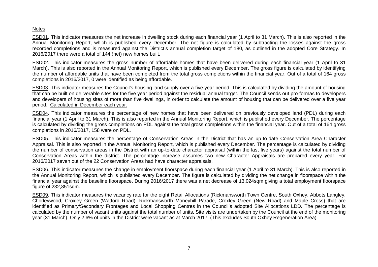### Notes:

ESD01. This indicator measures the net increase in dwelling stock during each financial year (1 April to 31 March). This is also reported in the Annual Monitoring Report, which is published every December. The net figure is calculated by subtracting the losses against the gross recorded completions and is measured against the District's annual completion target of 180, as outlined in the adopted Core Strategy. In 2016/2017 there were a total of 144 (net) new homes built.

ESD02. This indicator measures the gross number of affordable homes that have been delivered during each financial year (1 April to 31 March). This is also reported in the Annual Monitoring Report, which is published every December. The gross figure is calculated by identifying the number of affordable units that have been completed from the total gross completions within the financial year. Out of a total of 164 gross completions in 2016/2017, 0 were identified as being affordable.

ESD03. This indicator measures the Council's housing land supply over a five year period. This is calculated by dividing the amount of housing that can be built on deliverable sites for the five year period against the residual annual target. The Council sends out pro-formas to developers and developers of housing sites of more than five dwellings, in order to calculate the amount of housing that can be delivered over a five year period. Calculated in December each year.

ESD04. This indicator measures the percentage of new homes that have been delivered on previously developed land (PDL) during each financial year (1 April to 31 March). This is also reported in the Annual Monitoring Report, which is published every December. The percentage is calculated by dividing the gross completions on PDL against the total gross completions within the financial year. Out of a total of 164 gross completions in 2016/2017, 158 were on PDL.

ESD05. This indicator measures the percentage of Conservation Areas in the District that has an up-to-date Conservation Area Character Appraisal. This is also reported in the Annual Monitoring Report, which is published every December. The percentage is calculated by dividing the number of conservation areas in the District with an up-to-date character appraisal (within the last five years) against the total number of Conservation Areas within the district. The percentage increase assumes two new Character Appraisals are prepared every year. For 2016/2017 seven out of the 22 Conservation Areas had have character appraisals.

ESD06. This indicator measures the change in employment floorspace during each financial year (1 April to 31 March). This is also reported in the Annual Monitoring Report, which is published every December. The figure is calculated by dividing the net change in floorspace within the financial year against the baseline floorspace. During 2016/2017 there was a net decrease of 13,024sqm giving a total employment floorspace figure of 232,851sqm.

ESD09. This indicator measures the vacancy rate for the eight Retail Allocations (Rickmansworth Town Centre, South Oxhey, Abbots Langley, Chorleywood, Croxley Green (Watford Road), Rickmansworth Moneyhill Parade, Croxley Green (New Road) and Maple Cross) that are identified as Primary/Secondary Frontages and Local Shopping Centres in the Council's adopted Site Allocations LDD. The percentage is calculated by the number of vacant units against the total number of units. Site visits are undertaken by the Council at the end of the monitoring year (31 March). Only 2.6% of units in the District were vacant as at March 2017. (This excludes South Oxhey Regeneration Area).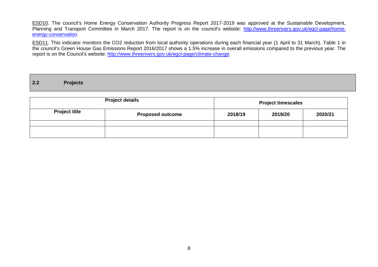ESD10. The council's Home Energy Conservation Authority Progress Report 2017-2019 was approved at the Sustainable Development, Planning and Transport Committee in March 2017. The report is on the council's website: [http://www.threerivers.gov.uk/egcl-page/home](http://www.threerivers.gov.uk/egcl-page/home-energy-conservation)[energy-conservation.](http://www.threerivers.gov.uk/egcl-page/home-energy-conservation)

ESD11. This indicator monitors the CO2 reduction from local authority operations during each financial year (1 April to 31 March). Table 1 in the council's Green House Gas Emissions Report 2016/2017 shows a 1.5% increase in overall emissions compared to the previous year. The report is on the Council's website: [http://www.threerivers.gov.uk/egcl-page/climate-change.](http://www.threerivers.gov.uk/egcl-page/climate-change)

|  | 2.2 | <b>Projects</b> |  |  |  |  |  |  |
|--|-----|-----------------|--|--|--|--|--|--|
|--|-----|-----------------|--|--|--|--|--|--|

|                                                 | <b>Project details</b> | <b>Project timescales</b> |         |         |  |
|-------------------------------------------------|------------------------|---------------------------|---------|---------|--|
| <b>Project title</b><br><b>Proposed outcome</b> |                        | 2018/19                   | 2019/20 | 2020/21 |  |
|                                                 |                        |                           |         |         |  |
|                                                 |                        |                           |         |         |  |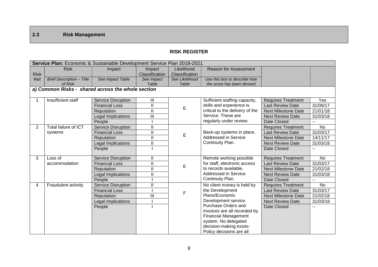# **2.3 Risk Management**

### **RISK REGISTER**

|                | Service Plan: Economic & Sustainable Development Service Plan 2018-2021 |                           |                         |                |                                 |                            |                |  |  |  |
|----------------|-------------------------------------------------------------------------|---------------------------|-------------------------|----------------|---------------------------------|----------------------------|----------------|--|--|--|
|                | <b>Risk</b>                                                             | Impact                    | Impact                  | Likelihood     | <b>Reason for Assessment</b>    |                            |                |  |  |  |
| <b>Risk</b>    |                                                                         |                           | Classification          | Classification |                                 |                            |                |  |  |  |
| Ref            | <b>Brief Description - Title</b>                                        | See Impact Table          | See Impact              | See Likelihood | Use this box to describe how    |                            |                |  |  |  |
|                | of Risk                                                                 |                           | Table                   | Table          | the score has been derived      |                            |                |  |  |  |
|                | a) Common Risks - shared across the whole section                       |                           |                         |                |                                 |                            |                |  |  |  |
|                | Insufficient staff                                                      | Service Disruption        | III                     |                | Sufficient staffing capacity,   | <b>Requires Treatment</b>  | Yes            |  |  |  |
|                |                                                                         | <b>Financial Loss</b>     | $\overline{\mathbb{I}}$ | E              | skills and experience is        | <b>Last Review Date</b>    | 31/08/17       |  |  |  |
|                |                                                                         | Reputation                | $\mathbf{II}$           |                | critical to the delivery of the | <b>Next Milestone Date</b> | 21/01/18       |  |  |  |
|                |                                                                         | <b>Legal Implications</b> | Ш                       |                | Service. These are              | <b>Next Review Date</b>    | 31/03/18       |  |  |  |
|                |                                                                         | People                    |                         |                | regularly under review.         | Date Closed                | $-$            |  |  |  |
| $\overline{2}$ | <b>Total failure of ICT</b>                                             | <b>Service Disruption</b> | Ш                       |                |                                 | <b>Requires Treatment</b>  | $\overline{N}$ |  |  |  |
|                | systems                                                                 | <b>Financial Loss</b>     | $\mathbf{I}$            | E              | Back-up systems in place.       | <b>Last Review Date</b>    | 31/03/17       |  |  |  |
|                |                                                                         | Reputation                | $\mathbf{II}$           |                | Addressed in Service            | <b>Next Milestone Date</b> | 14/11/17       |  |  |  |
|                |                                                                         | <b>Legal Implications</b> | Ш                       |                | Continuity Plan.                | <b>Next Review Date</b>    | 31/03/18       |  |  |  |
|                |                                                                         | People                    |                         |                |                                 | Date Closed                | $- -$          |  |  |  |
| 3              | Loss of                                                                 | <b>Service Disruption</b> | $\mathbf{II}$           |                | Remote working possible         | <b>Requires Treatment</b>  | <b>No</b>      |  |  |  |
|                | accommodation                                                           | <b>Financial Loss</b>     | $\mathbf{I}$            | E              | for staff, electronic access    | <b>Last Review Date</b>    | 31/03/17       |  |  |  |
|                |                                                                         | Reputation                | $\mathbf{II}$           |                | to records available.           | <b>Next Milestone Date</b> | 21/02/18       |  |  |  |
|                |                                                                         | Legal Implications        | $\mathbf{I}$            |                | Addressed in Service            | <b>Next Review Date</b>    | 31/03/18       |  |  |  |
|                |                                                                         | People                    |                         |                | Continuity Plan.                | Date Closed                | $\overline{a}$ |  |  |  |
| 4              | Fraudulent activity                                                     | <b>Service Disruption</b> | Ш                       |                | No client money is held by      | <b>Requires Treatment</b>  | <b>No</b>      |  |  |  |
|                |                                                                         | <b>Financial Loss</b>     |                         | F              | the Development                 | <b>Last Review Date</b>    | 31/03/17       |  |  |  |
|                |                                                                         | Reputation                | $\mathbf{III}$          |                | Plans/Economic                  | <b>Next Milestone Date</b> | 21/02/18       |  |  |  |
|                |                                                                         | Legal Implications        |                         |                | Development service.            | <b>Next Review Date</b>    | 31/03/18       |  |  |  |
|                |                                                                         | People                    |                         |                | Purchase Orders and             | Date Closed                |                |  |  |  |
|                |                                                                         |                           |                         |                | Invoices are all recorded by    |                            |                |  |  |  |
|                |                                                                         |                           |                         |                | <b>Financial Management</b>     |                            |                |  |  |  |
|                |                                                                         |                           |                         |                | system. No delegated            |                            |                |  |  |  |
|                |                                                                         |                           |                         |                | decision-making exists-         |                            |                |  |  |  |
|                |                                                                         |                           |                         |                | Policy decisions are all        |                            |                |  |  |  |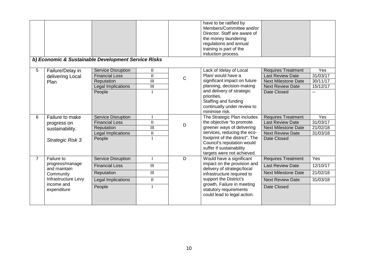|                | b) Economic & Sustainable Development Service Risks                                                            |                                                                                                  |                                                        |              | have to be ratified by<br>Members/Committee and/or<br>Director. Staff are aware of<br>the money laundering<br>regulations and annual<br>training is part of the<br>induction process.                                                            |                                                                                                                              |                                                |
|----------------|----------------------------------------------------------------------------------------------------------------|--------------------------------------------------------------------------------------------------|--------------------------------------------------------|--------------|--------------------------------------------------------------------------------------------------------------------------------------------------------------------------------------------------------------------------------------------------|------------------------------------------------------------------------------------------------------------------------------|------------------------------------------------|
| 5              | Failure/Delay in<br>delivering Local<br>Plan                                                                   | <b>Service Disruption</b><br><b>Financial Loss</b><br>Reputation<br>Legal Implications<br>People | Ш<br>$\mathsf{II}$<br>$\mathbf{III}$<br>$\mathbf{III}$ | $\mathsf{C}$ | Lack of /delay of Local<br>Plan/ would have a<br>significant impact on future<br>planning, decision-making<br>and delivery of strategic<br>priorities.<br>Staffing and funding<br>continually under review to<br>minimise risk.                  | <b>Requires Treatment</b><br><b>Last Review Date</b><br><b>Next Milestone Date</b><br><b>Next Review Date</b><br>Date Closed | Yes<br>31/03/17<br>30/11/17<br>15/12/17<br>$-$ |
| 6              | Failure to make<br>progress on<br>sustainability.<br>Strategic Risk 3                                          | <b>Service Disruption</b><br><b>Financial Loss</b><br>Reputation<br>Legal Implications<br>People | $\mathbf{I}$<br>$\mathbf{III}$<br>Ш                    | D            | The Strategic Plan includes<br>the objective "to promote<br>greener ways of delivering<br>services, reducing the eco-<br>footprint of the district". The<br>Council's reputation would<br>suffer if sustainability<br>targets were not achieved. | <b>Requires Treatment</b><br><b>Last Review Date</b><br><b>Next Milestone Date</b><br><b>Next Review Date</b><br>Date Closed | Yes<br>31/03/17<br>21/02/18<br>31/03/18        |
| $\overline{7}$ | Failure to<br>progress/manage<br>and maintain<br>Community<br>Infrastructure Levy<br>income and<br>expenditure | <b>Service Disruption</b><br><b>Financial Loss</b><br>Reputation<br>Legal Implications<br>People | III<br>$\overline{\mathbb{H}}$<br>Ш                    | D            | Would have a significant<br>impact on the provision and<br>delivery of strategic/local<br>infrastructure required to<br>support the District's<br>growth. Failure in meeting<br>statutory requirements<br>could lead to legal action.            | <b>Requires Treatment</b><br><b>Last Review Date</b><br><b>Next Milestone Date</b><br><b>Next Review Date</b><br>Date Closed | Yes<br>12/10/17<br>21/02/18<br>31/03/18        |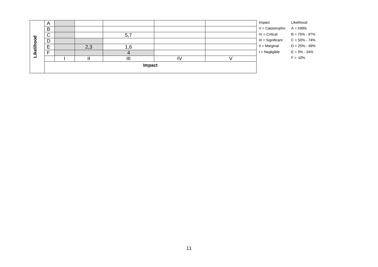|            | B<br>$\sim$<br>◡ |  |     |    |  |  | $V =$ Catastrophic<br>$IV =$ Critical | $B = 75\% - 97\%$ |
|------------|------------------|--|-----|----|--|--|---------------------------------------|-------------------|
| Likelihood | D                |  |     |    |  |  | III = Significant                     | $C = 50\% - 74\%$ |
|            | E<br>–           |  | 2,3 | .6 |  |  | $II = Marginal$                       | $D = 25\% - 49\%$ |
|            | -                |  |     |    |  |  | $I = Negligible$                      | $E = 3\% - 24\%$  |
|            |                  |  |     | Ш  |  |  |                                       | $F = \leq 2\%$    |
|            | Impact           |  |     |    |  |  |                                       |                   |
|            |                  |  |     |    |  |  |                                       |                   |